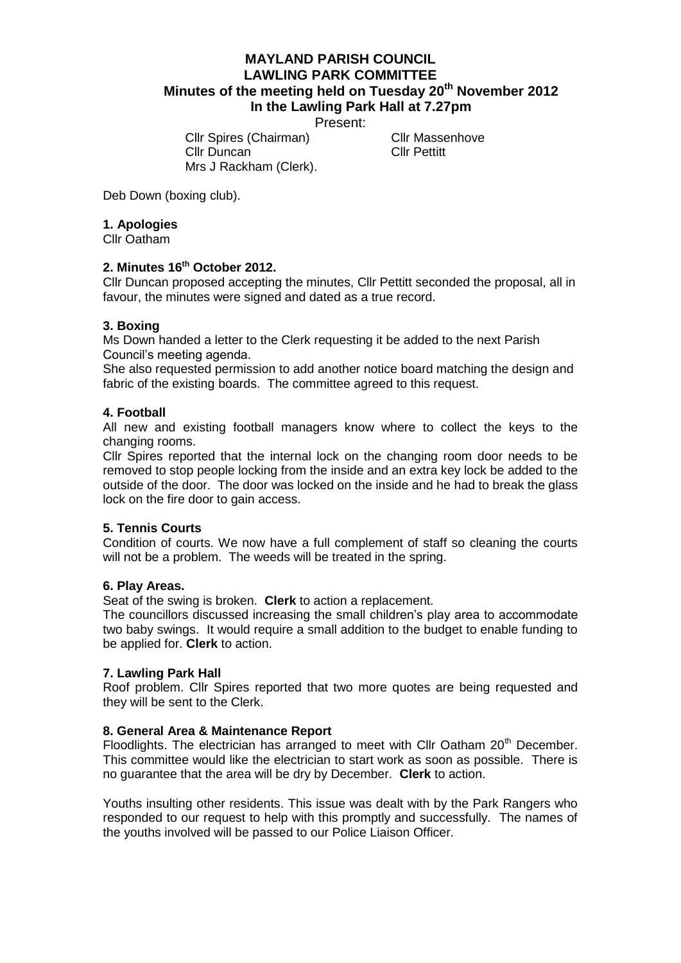## **MAYLAND PARISH COUNCIL LAWLING PARK COMMITTEE Minutes of the meeting held on Tuesday 20th November 2012 In the Lawling Park Hall at 7.27pm**

Present:

Cllr Spires (Chairman) Cllr Massenhove Cllr Duncan Cllr Pettitt Mrs J Rackham (Clerk).

Deb Down (boxing club).

## **1. Apologies**

Cllr Oatham

## **2. Minutes 16th October 2012.**

Cllr Duncan proposed accepting the minutes, Cllr Pettitt seconded the proposal, all in favour, the minutes were signed and dated as a true record.

## **3. Boxing**

Ms Down handed a letter to the Clerk requesting it be added to the next Parish Council's meeting agenda.

She also requested permission to add another notice board matching the design and fabric of the existing boards. The committee agreed to this request.

## **4. Football**

All new and existing football managers know where to collect the keys to the changing rooms.

Cllr Spires reported that the internal lock on the changing room door needs to be removed to stop people locking from the inside and an extra key lock be added to the outside of the door. The door was locked on the inside and he had to break the glass lock on the fire door to gain access.

#### **5. Tennis Courts**

Condition of courts. We now have a full complement of staff so cleaning the courts will not be a problem. The weeds will be treated in the spring.

#### **6. Play Areas.**

Seat of the swing is broken. **Clerk** to action a replacement.

The councillors discussed increasing the small children's play area to accommodate two baby swings. It would require a small addition to the budget to enable funding to be applied for. **Clerk** to action.

#### **7. Lawling Park Hall**

Roof problem. Cllr Spires reported that two more quotes are being requested and they will be sent to the Clerk.

#### **8. General Area & Maintenance Report**

Floodlights. The electrician has arranged to meet with Cllr Oatham  $20<sup>th</sup>$  December. This committee would like the electrician to start work as soon as possible. There is no guarantee that the area will be dry by December. **Clerk** to action.

Youths insulting other residents. This issue was dealt with by the Park Rangers who responded to our request to help with this promptly and successfully. The names of the youths involved will be passed to our Police Liaison Officer.